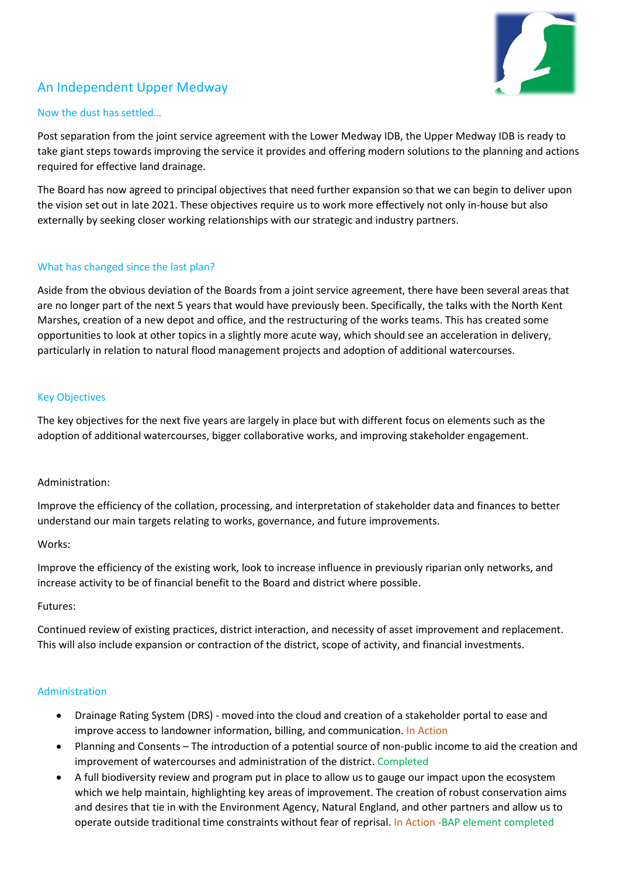

# An Independent Upper Medway

# Now the dust has settled…

Post separation from the joint service agreement with the Lower Medway IDB, the Upper Medway IDB is ready to take giant steps towards improving the service it provides and offering modern solutions to the planning and actions required for effective land drainage.

The Board has now agreed to principal objectives that need further expansion so that we can begin to deliver upon the vision set out in late 2021. These objectives require us to work more effectively not only in-house but also externally by seeking closer working relationships with our strategic and industry partners.

# What has changed since the last plan?

Aside from the obvious deviation of the Boards from a joint service agreement, there have been several areas that are no longer part of the next 5 years that would have previously been. Specifically, the talks with the North Kent Marshes, creation of a new depot and office, and the restructuring of the works teams. This has created some opportunities to look at other topics in a slightly more acute way, which should see an acceleration in delivery, particularly in relation to natural flood management projects and adoption of additional watercourses.

#### Key Objectives

The key objectives for the next five years are largely in place but with different focus on elements such as the adoption of additional watercourses, bigger collaborative works, and improving stakeholder engagement.

#### Administration:

Improve the efficiency of the collation, processing, and interpretation of stakeholder data and finances to better understand our main targets relating to works, governance, and future improvements.

#### Works:

Improve the efficiency of the existing work, look to increase influence in previously riparian only networks, and increase activity to be of financial benefit to the Board and district where possible.

#### Futures:

Continued review of existing practices, district interaction, and necessity of asset improvement and replacement. This will also include expansion or contraction of the district, scope of activity, and financial investments.

#### Administration

- Drainage Rating System (DRS) moved into the cloud and creation of a stakeholder portal to ease and improve access to landowner information, billing, and communication. In Action
- Planning and Consents The introduction of a potential source of non-public income to aid the creation and improvement of watercourses and administration of the district. Completed
- A full biodiversity review and program put in place to allow us to gauge our impact upon the ecosystem which we help maintain, highlighting key areas of improvement. The creation of robust conservation aims and desires that tie in with the Environment Agency, Natural England, and other partners and allow us to operate outside traditional time constraints without fear of reprisal. In Action -BAP element completed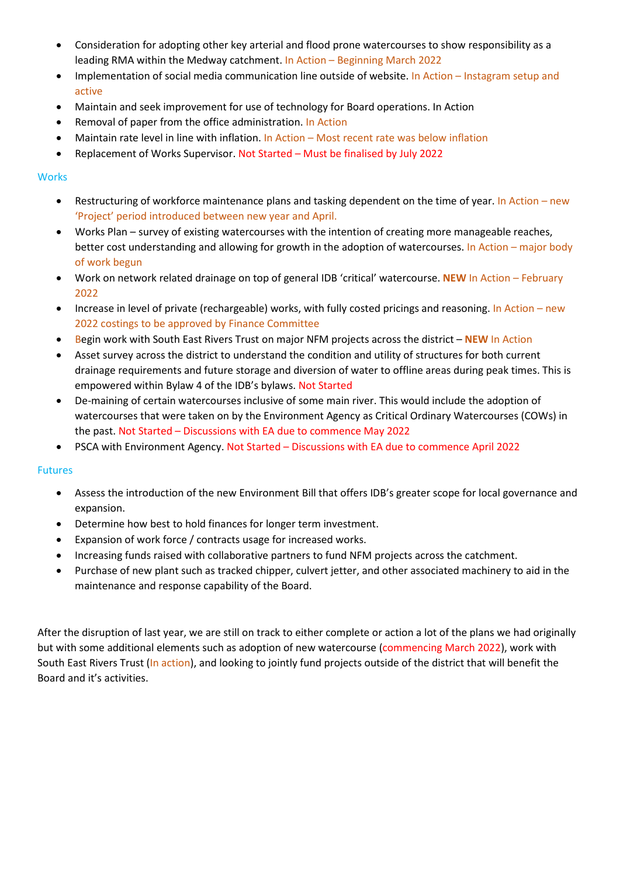- Consideration for adopting other key arterial and flood prone watercourses to show responsibility as a leading RMA within the Medway catchment. In Action – Beginning March 2022
- Implementation of social media communication line outside of website. In Action Instagram setup and active
- Maintain and seek improvement for use of technology for Board operations. In Action
- Removal of paper from the office administration. In Action
- Maintain rate level in line with inflation. In Action Most recent rate was below inflation
- Replacement of Works Supervisor. Not Started Must be finalised by July 2022

### **Works**

- Restructuring of workforce maintenance plans and tasking dependent on the time of year. In Action new 'Project' period introduced between new year and April.
- Works Plan survey of existing watercourses with the intention of creating more manageable reaches, better cost understanding and allowing for growth in the adoption of watercourses. In Action – major body of work begun
- Work on network related drainage on top of general IDB 'critical' watercourse. **NEW** In Action February 2022
- Increase in level of private (rechargeable) works, with fully costed pricings and reasoning. In Action new 2022 costings to be approved by Finance Committee
- Begin work with South East Rivers Trust on major NFM projects across the district **NEW** In Action
- Asset survey across the district to understand the condition and utility of structures for both current drainage requirements and future storage and diversion of water to offline areas during peak times. This is empowered within Bylaw 4 of the IDB's bylaws. Not Started
- De-maining of certain watercourses inclusive of some main river. This would include the adoption of watercourses that were taken on by the Environment Agency as Critical Ordinary Watercourses (COWs) in the past. Not Started – Discussions with EA due to commence May 2022
- PSCA with Environment Agency. Not Started Discussions with EA due to commence April 2022

#### Futures

- Assess the introduction of the new Environment Bill that offers IDB's greater scope for local governance and expansion.
- Determine how best to hold finances for longer term investment.
- Expansion of work force / contracts usage for increased works.
- Increasing funds raised with collaborative partners to fund NFM projects across the catchment.
- Purchase of new plant such as tracked chipper, culvert jetter, and other associated machinery to aid in the maintenance and response capability of the Board.

After the disruption of last year, we are still on track to either complete or action a lot of the plans we had originally but with some additional elements such as adoption of new watercourse (commencing March 2022), work with South East Rivers Trust (In action), and looking to jointly fund projects outside of the district that will benefit the Board and it's activities.